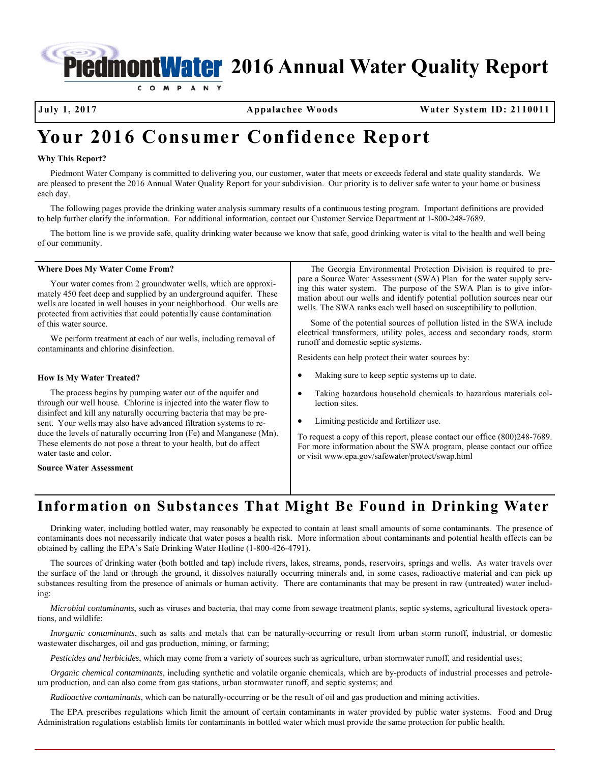# **2016 Annual Water Quality Report**

M P  $\mathbf{A}$ C  $\circ$  $\mathbf N$ 

**July 1, 2017 Appalachee Woods Water System ID: 2110011** 

# **Your 2016 Consumer Confidence Report**

#### **Why This Report?**

Piedmont Water Company is committed to delivering you, our customer, water that meets or exceeds federal and state quality standards. We are pleased to present the 2016 Annual Water Quality Report for your subdivision. Our priority is to deliver safe water to your home or business each day.

The following pages provide the drinking water analysis summary results of a continuous testing program. Important definitions are provided to help further clarify the information. For additional information, contact our Customer Service Department at 1-800-248-7689.

The bottom line is we provide safe, quality drinking water because we know that safe, good drinking water is vital to the health and well being of our community.

| <b>Where Does My Water Come From?</b><br>Your water comes from 2 groundwater wells, which are approxi-<br>mately 450 feet deep and supplied by an underground aquifer. These<br>wells are located in well houses in your neighborhood. Our wells are<br>protected from activities that could potentially cause contamination<br>of this water source.<br>We perform treatment at each of our wells, including removal of<br>contaminants and chlorine disinfection. | The Georgia Environmental Protection Division is required to pre-<br>pare a Source Water Assessment (SWA) Plan for the water supply serv-<br>ing this water system. The purpose of the SWA Plan is to give infor-<br>mation about our wells and identify potential pollution sources near our<br>wells. The SWA ranks each well based on susceptibility to pollution.<br>Some of the potential sources of pollution listed in the SWA include<br>electrical transformers, utility poles, access and secondary roads, storm<br>runoff and domestic septic systems.<br>Residents can help protect their water sources by: |
|---------------------------------------------------------------------------------------------------------------------------------------------------------------------------------------------------------------------------------------------------------------------------------------------------------------------------------------------------------------------------------------------------------------------------------------------------------------------|-------------------------------------------------------------------------------------------------------------------------------------------------------------------------------------------------------------------------------------------------------------------------------------------------------------------------------------------------------------------------------------------------------------------------------------------------------------------------------------------------------------------------------------------------------------------------------------------------------------------------|
| <b>How Is My Water Treated?</b>                                                                                                                                                                                                                                                                                                                                                                                                                                     | Making sure to keep septic systems up to date.                                                                                                                                                                                                                                                                                                                                                                                                                                                                                                                                                                          |
| The process begins by pumping water out of the aquifer and<br>through our well house. Chlorine is injected into the water flow to<br>disinfect and kill any naturally occurring bacteria that may be pre-<br>sent. Your wells may also have advanced filtration systems to re-<br>duce the levels of naturally occurring Iron (Fe) and Manganese (Mn).<br>These elements do not pose a threat to your health, but do affect<br>water taste and color.               | Taking hazardous household chemicals to hazardous materials col-<br>lection sites.<br>Limiting pesticide and fertilizer use.<br>To request a copy of this report, please contact our office (800)248-7689.<br>For more information about the SWA program, please contact our office<br>or visit www.epa.gov/safewater/protect/swap.html                                                                                                                                                                                                                                                                                 |
| <b>Source Water Assessment</b>                                                                                                                                                                                                                                                                                                                                                                                                                                      |                                                                                                                                                                                                                                                                                                                                                                                                                                                                                                                                                                                                                         |

### **Information on Substances That Might Be Found in Drinking Water**

Drinking water, including bottled water, may reasonably be expected to contain at least small amounts of some contaminants. The presence of contaminants does not necessarily indicate that water poses a health risk. More information about contaminants and potential health effects can be obtained by calling the EPA's Safe Drinking Water Hotline (1-800-426-4791).

The sources of drinking water (both bottled and tap) include rivers, lakes, streams, ponds, reservoirs, springs and wells. As water travels over the surface of the land or through the ground, it dissolves naturally occurring minerals and, in some cases, radioactive material and can pick up substances resulting from the presence of animals or human activity. There are contaminants that may be present in raw (untreated) water including:

*Microbial contaminants*, such as viruses and bacteria, that may come from sewage treatment plants, septic systems, agricultural livestock operations, and wildlife:

*Inorganic contaminants*, such as salts and metals that can be naturally-occurring or result from urban storm runoff, industrial, or domestic wastewater discharges, oil and gas production, mining, or farming;

*Pesticides and herbicides*, which may come from a variety of sources such as agriculture, urban stormwater runoff, and residential uses;

*Organic chemical contaminants*, including synthetic and volatile organic chemicals, which are by-products of industrial processes and petroleum production, and can also come from gas stations, urban stormwater runoff, and septic systems; and

*Radioactive contaminants*, which can be naturally-occurring or be the result of oil and gas production and mining activities.

The EPA prescribes regulations which limit the amount of certain contaminants in water provided by public water systems. Food and Drug Administration regulations establish limits for contaminants in bottled water which must provide the same protection for public health.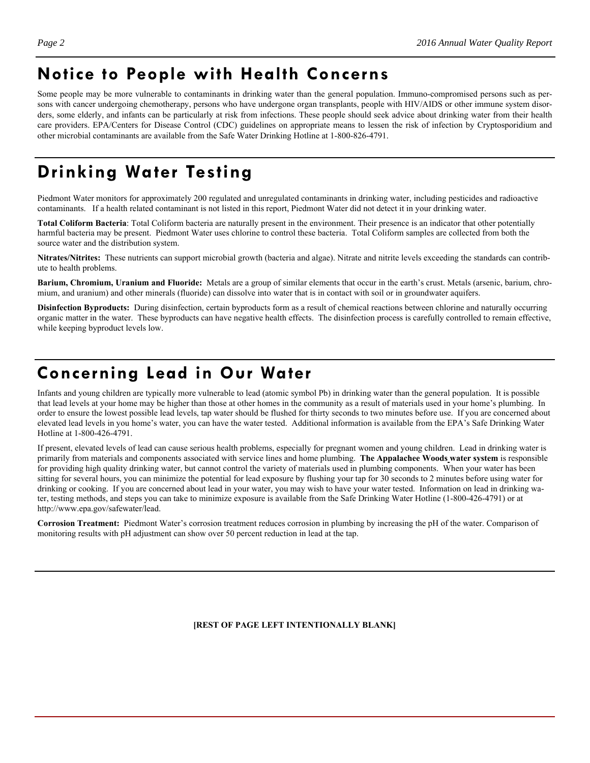### **Notice to People with Health Concerns**

Some people may be more vulnerable to contaminants in drinking water than the general population. Immuno-compromised persons such as persons with cancer undergoing chemotherapy, persons who have undergone organ transplants, people with HIV/AIDS or other immune system disorders, some elderly, and infants can be particularly at risk from infections. These people should seek advice about drinking water from their health care providers. EPA/Centers for Disease Control (CDC) guidelines on appropriate means to lessen the risk of infection by Cryptosporidium and other microbial contaminants are available from the Safe Water Drinking Hotline at 1-800-826-4791.

# **Drinking Water Testing**

Piedmont Water monitors for approximately 200 regulated and unregulated contaminants in drinking water, including pesticides and radioactive contaminants. If a health related contaminant is not listed in this report, Piedmont Water did not detect it in your drinking water.

**Total Coliform Bacteria**: Total Coliform bacteria are naturally present in the environment. Their presence is an indicator that other potentially harmful bacteria may be present. Piedmont Water uses chlorine to control these bacteria. Total Coliform samples are collected from both the source water and the distribution system.

**Nitrates/Nitrites:** These nutrients can support microbial growth (bacteria and algae). Nitrate and nitrite levels exceeding the standards can contribute to health problems.

**Barium, Chromium, Uranium and Fluoride:** Metals are a group of similar elements that occur in the earth's crust. Metals (arsenic, barium, chromium, and uranium) and other minerals (fluoride) can dissolve into water that is in contact with soil or in groundwater aquifers.

**Disinfection Byproducts:** During disinfection, certain byproducts form as a result of chemical reactions between chlorine and naturally occurring organic matter in the water. These byproducts can have negative health effects. The disinfection process is carefully controlled to remain effective, while keeping byproduct levels low.

### **Concerning Lead in Our Water**

Infants and young children are typically more vulnerable to lead (atomic symbol Pb) in drinking water than the general population. It is possible that lead levels at your home may be higher than those at other homes in the community as a result of materials used in your home's plumbing. In order to ensure the lowest possible lead levels, tap water should be flushed for thirty seconds to two minutes before use. If you are concerned about elevated lead levels in you home's water, you can have the water tested. Additional information is available from the EPA's Safe Drinking Water Hotline at 1-800-426-4791.

If present, elevated levels of lead can cause serious health problems, especially for pregnant women and young children. Lead in drinking water is primarily from materials and components associated with service lines and home plumbing. **The Appalachee Woods water system** is responsible for providing high quality drinking water, but cannot control the variety of materials used in plumbing components. When your water has been sitting for several hours, you can minimize the potential for lead exposure by flushing your tap for 30 seconds to 2 minutes before using water for drinking or cooking. If you are concerned about lead in your water, you may wish to have your water tested. Information on lead in drinking water, testing methods, and steps you can take to minimize exposure is available from the Safe Drinking Water Hotline (1-800-426-4791) or at http://www.epa.gov/safewater/lead.

**Corrosion Treatment:** Piedmont Water's corrosion treatment reduces corrosion in plumbing by increasing the pH of the water. Comparison of monitoring results with pH adjustment can show over 50 percent reduction in lead at the tap.

#### **[REST OF PAGE LEFT INTENTIONALLY BLANK]**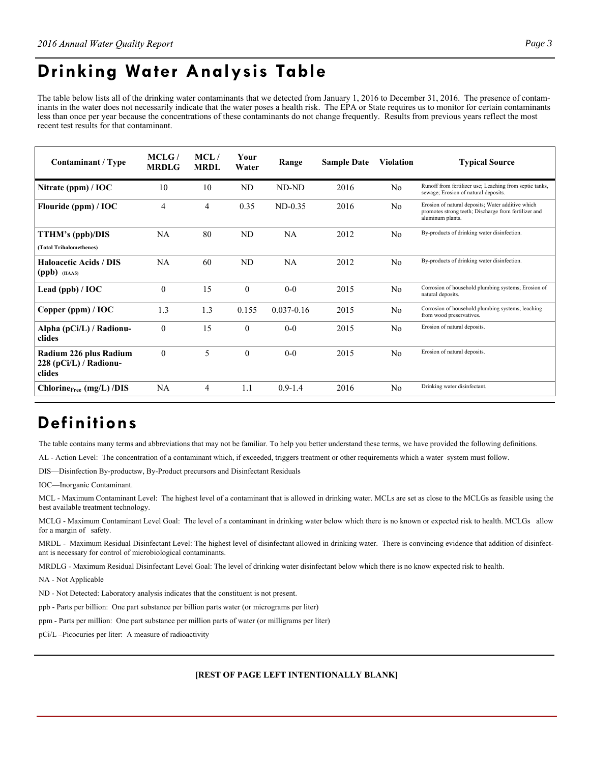### *Page 3*

# **Drinking Water Analysis Table**

The table below lists all of the drinking water contaminants that we detected from January 1, 2016 to December 31, 2016. The presence of contaminants in the water does not necessarily indicate that the water poses a health risk. The EPA or State requires us to monitor for certain contaminants less than once per year because the concentrations of these contaminants do not change frequently. Results from previous years reflect the most recent test results for that contaminant.

| <b>Contaminant</b> / Type                                  | MCLG/<br><b>MRDLG</b> | MCL/<br><b>MRDL</b> | Your<br>Water | Range          | <b>Sample Date</b> | <b>Violation</b> | <b>Typical Source</b>                                                                                                         |
|------------------------------------------------------------|-----------------------|---------------------|---------------|----------------|--------------------|------------------|-------------------------------------------------------------------------------------------------------------------------------|
| Nitrate (ppm) / IOC                                        | 10                    | 10                  | ND            | ND-ND          | 2016               | No               | Runoff from fertilizer use; Leaching from septic tanks,<br>sewage; Erosion of natural deposits.                               |
| Flouride (ppm) / IOC                                       | 4                     | 4                   | 0.35          | $ND-0.35$      | 2016               | N <sub>o</sub>   | Erosion of natural deposits; Water additive which<br>promotes strong teeth; Discharge from fertilizer and<br>aluminum plants. |
| TTHM's (ppb)/DIS<br>(Total Trihalomethenes)                | NA                    | 80                  | ND            | NA             | 2012               | N <sub>o</sub>   | By-products of drinking water disinfection.                                                                                   |
| <b>Haloacetic Acids / DIS</b><br>$(ppb)$ (HAA5)            | <b>NA</b>             | 60                  | ND            | <b>NA</b>      | 2012               | No               | By-products of drinking water disinfection.                                                                                   |
| Lead (ppb) / IOC                                           | $\theta$              | 15                  | $\theta$      | $0-0$          | 2015               | N <sub>o</sub>   | Corrosion of household plumbing systems; Erosion of<br>natural deposits.                                                      |
| Copper (ppm) / IOC                                         | 1.3                   | 1.3                 | 0.155         | $0.037 - 0.16$ | 2015               | No               | Corrosion of household plumbing systems; leaching<br>from wood preservatives.                                                 |
| Alpha (pCi/L) / Radionu-<br>clides                         | $\overline{0}$        | 15                  | $\mathbf{0}$  | $0-0$          | 2015               | N <sub>o</sub>   | Erosion of natural deposits.                                                                                                  |
| Radium 226 plus Radium<br>228 (pCi/L) / Radionu-<br>clides | $\theta$              | 5                   | $\theta$      | $0-0$          | 2015               | N <sub>o</sub>   | Erosion of natural deposits.                                                                                                  |
| Chlorine <sub>Free</sub> (mg/L) /DIS                       | NA                    | 4                   | 1.1           | $0.9 - 1.4$    | 2016               | N <sub>o</sub>   | Drinking water disinfectant.                                                                                                  |

# **Definitions**

The table contains many terms and abbreviations that may not be familiar. To help you better understand these terms, we have provided the following definitions.

AL - Action Level: The concentration of a contaminant which, if exceeded, triggers treatment or other requirements which a water system must follow.

DIS—Disinfection By-productsw, By-Product precursors and Disinfectant Residuals

IOC—Inorganic Contaminant.

MCL - Maximum Contaminant Level: The highest level of a contaminant that is allowed in drinking water. MCLs are set as close to the MCLGs as feasible using the best available treatment technology.

MCLG - Maximum Contaminant Level Goal: The level of a contaminant in drinking water below which there is no known or expected risk to health. MCLGs allow for a margin of safety.

MRDL - Maximum Residual Disinfectant Level: The highest level of disinfectant allowed in drinking water. There is convincing evidence that addition of disinfectant is necessary for control of microbiological contaminants.

MRDLG - Maximum Residual Disinfectant Level Goal: The level of drinking water disinfectant below which there is no know expected risk to health.

NA - Not Applicable

ND - Not Detected: Laboratory analysis indicates that the constituent is not present.

ppb - Parts per billion: One part substance per billion parts water (or micrograms per liter)

ppm - Parts per million: One part substance per million parts of water (or milligrams per liter)

pCi/L –Picocuries per liter: A measure of radioactivity

#### **[REST OF PAGE LEFT INTENTIONALLY BLANK]**